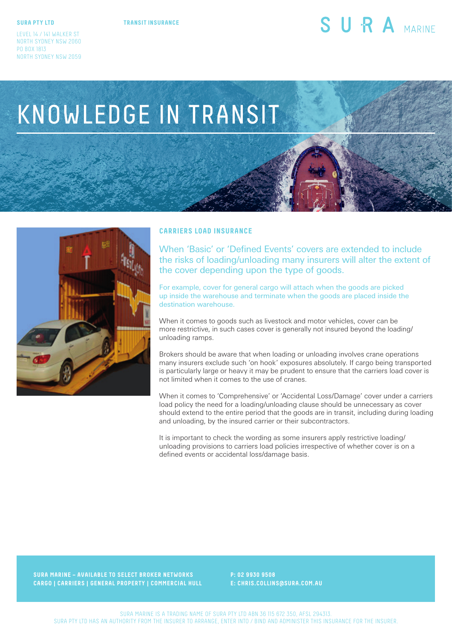#### **SURA PTY LTD**

**TRANSIT INSURANCE**

## SURA MARINE

# KNOWLEDGE IN TRANSIT



#### **CARRIERS LOAD INSURANCE**

When 'Basic' or 'Defined Events' covers are extended to include the risks of loading/unloading many insurers will alter the extent of the cover depending upon the type of goods.

For example, cover for general cargo will attach when the goods are picked up inside the warehouse and terminate when the goods are placed inside the destination warehouse.

When it comes to goods such as livestock and motor vehicles, cover can be more restrictive, in such cases cover is generally not insured beyond the loading/ unloading ramps.

Brokers should be aware that when loading or unloading involves crane operations many insurers exclude such 'on hook' exposures absolutely. If cargo being transported is particularly large or heavy it may be prudent to ensure that the carriers load cover is not limited when it comes to the use of cranes.

When it comes to 'Comprehensive' or 'Accidental Loss/Damage' cover under a carriers load policy the need for a loading/unloading clause should be unnecessary as cover should extend to the entire period that the goods are in transit, including during loading and unloading, by the insured carrier or their subcontractors.

It is important to check the wording as some insurers apply restrictive loading/ unloading provisions to carriers load policies irrespective of whether cover is on a defined events or accidental loss/damage basis.

**SURA MARINE – AVAILABLE TO SELECT BROKER NETWORKS CARGO | CARRIERS | GENERAL PROPERTY | COMMERCIAL HULL**  **P: 02 9930 9508 E: CHRIS.COLLINS@SURA.COM.AU**

SURA MARINE IS A TRADING NAME OF SURA PTY LTD ABN 36 115 672 350, AFSL 294313. SURA PTY LTD HAS AN AUTHORITY FROM THE INSURER TO ARRANGE, ENTER INTO / BIND AND ADMINISTER THIS INSURANCE FOR THE INSURER.